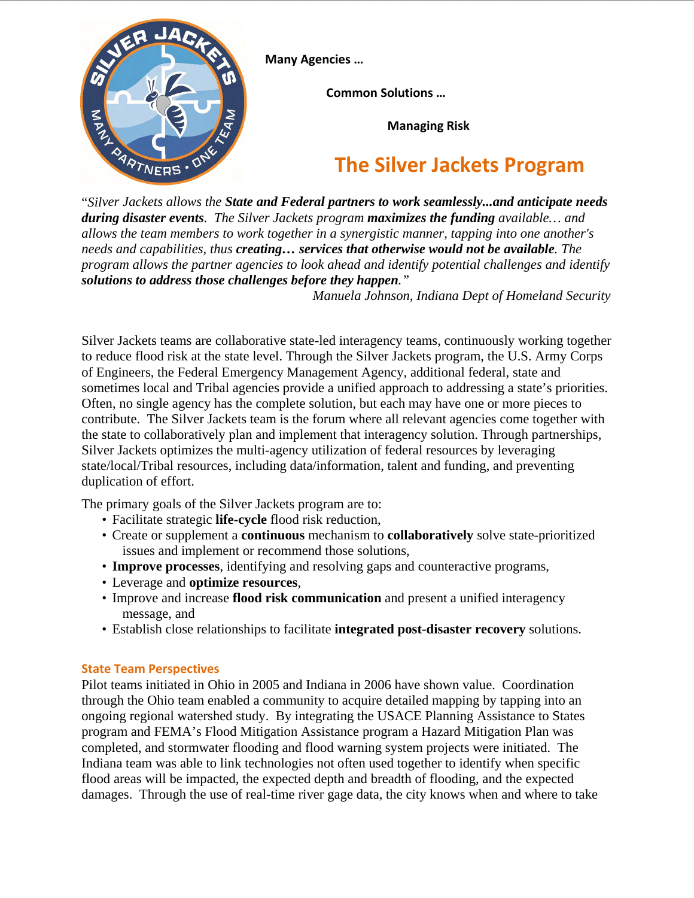

**Many Agencies …**

**Common Solutions …** 

**Managing Risk**

## **The Silver Jackets Program**

"*Silver Jackets allows the State and Federal partners to work seamlessly...and anticipate needs during disaster events. The Silver Jackets program maximizes the funding available… and allows the team members to work together in a synergistic manner, tapping into one another's needs and capabilities, thus creating… services that otherwise would not be available. The program allows the partner agencies to look ahead and identify potential challenges and identify solutions to address those challenges before they happen."* 

 *Manuela Johnson, Indiana Dept of Homeland Security*

Silver Jackets teams are collaborative state-led interagency teams, continuously working together to reduce flood risk at the state level. Through the Silver Jackets program, the U.S. Army Corps of Engineers, the Federal Emergency Management Agency, additional federal, state and sometimes local and Tribal agencies provide a unified approach to addressing a state's priorities. Often, no single agency has the complete solution, but each may have one or more pieces to contribute. The Silver Jackets team is the forum where all relevant agencies come together with the state to collaboratively plan and implement that interagency solution. Through partnerships, Silver Jackets optimizes the multi-agency utilization of federal resources by leveraging state/local/Tribal resources, including data/information, talent and funding, and preventing duplication of effort.

The primary goals of the Silver Jackets program are to:

- Facilitate strategic **life-cycle** flood risk reduction,
- Create or supplement a **continuous** mechanism to **collaboratively** solve state-prioritized issues and implement or recommend those solutions,
- **Improve processes**, identifying and resolving gaps and counteractive programs,
- Leverage and **optimize resources**,
- Improve and increase **flood risk communication** and present a unified interagency message, and
- Establish close relationships to facilitate **integrated post-disaster recovery** solutions.

## **State Team Perspectives**

Pilot teams initiated in Ohio in 2005 and Indiana in 2006 have shown value. Coordination through the Ohio team enabled a community to acquire detailed mapping by tapping into an ongoing regional watershed study. By integrating the USACE Planning Assistance to States program and FEMA's Flood Mitigation Assistance program a Hazard Mitigation Plan was completed, and stormwater flooding and flood warning system projects were initiated. The Indiana team was able to link technologies not often used together to identify when specific flood areas will be impacted, the expected depth and breadth of flooding, and the expected damages. Through the use of real-time river gage data, the city knows when and where to take